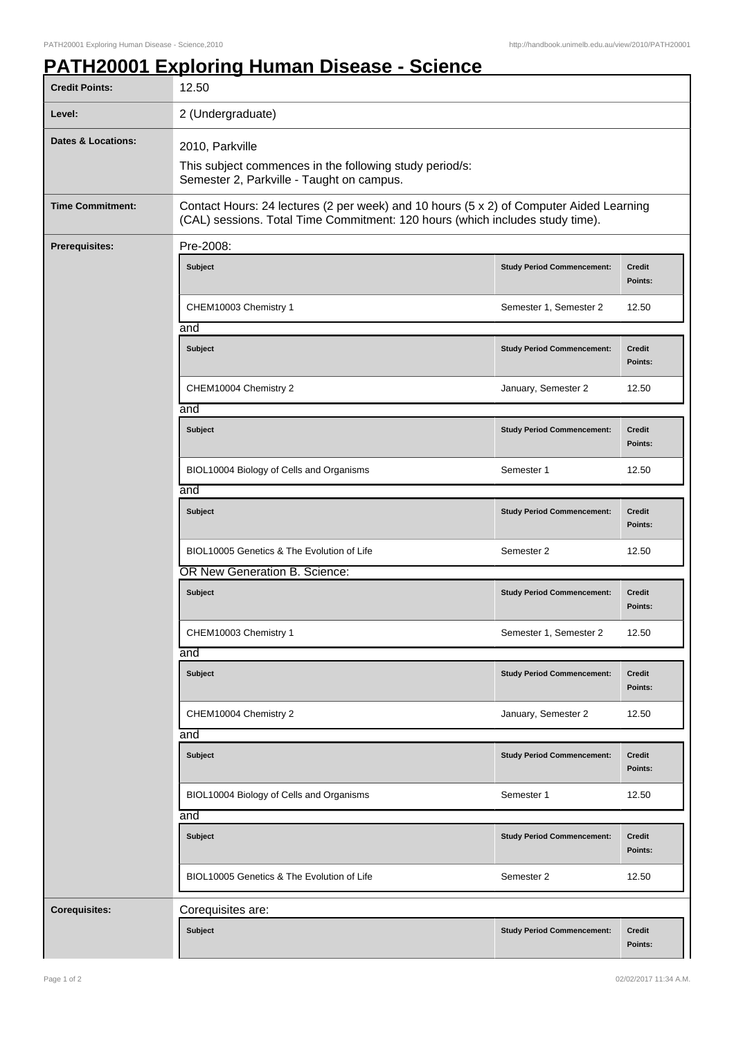## **PATH20001 Exploring Human Disease - Science**

| <b>Credit Points:</b>         | 12.50                                                                                                                                                                    |                                   |                          |  |
|-------------------------------|--------------------------------------------------------------------------------------------------------------------------------------------------------------------------|-----------------------------------|--------------------------|--|
| Level:                        | 2 (Undergraduate)                                                                                                                                                        |                                   |                          |  |
| <b>Dates &amp; Locations:</b> | 2010, Parkville                                                                                                                                                          |                                   |                          |  |
|                               | This subject commences in the following study period/s:<br>Semester 2, Parkville - Taught on campus.                                                                     |                                   |                          |  |
| <b>Time Commitment:</b>       | Contact Hours: 24 lectures (2 per week) and 10 hours (5 x 2) of Computer Aided Learning<br>(CAL) sessions. Total Time Commitment: 120 hours (which includes study time). |                                   |                          |  |
| Prerequisites:                | Pre-2008:                                                                                                                                                                |                                   |                          |  |
|                               | <b>Subject</b>                                                                                                                                                           | <b>Study Period Commencement:</b> | <b>Credit</b><br>Points: |  |
|                               | CHEM10003 Chemistry 1                                                                                                                                                    | Semester 1, Semester 2            | 12.50                    |  |
|                               | and                                                                                                                                                                      |                                   |                          |  |
|                               | <b>Subject</b>                                                                                                                                                           | <b>Study Period Commencement:</b> | <b>Credit</b><br>Points: |  |
|                               | CHEM10004 Chemistry 2                                                                                                                                                    | January, Semester 2               | 12.50                    |  |
|                               | and                                                                                                                                                                      |                                   |                          |  |
|                               | <b>Subject</b>                                                                                                                                                           | <b>Study Period Commencement:</b> | <b>Credit</b><br>Points: |  |
|                               | BIOL10004 Biology of Cells and Organisms                                                                                                                                 | Semester 1                        | 12.50                    |  |
|                               | and                                                                                                                                                                      |                                   |                          |  |
|                               | <b>Subject</b>                                                                                                                                                           | <b>Study Period Commencement:</b> | <b>Credit</b><br>Points: |  |
|                               | BIOL10005 Genetics & The Evolution of Life                                                                                                                               | Semester 2                        | 12.50                    |  |
|                               | OR New Generation B. Science:                                                                                                                                            |                                   |                          |  |
|                               | <b>Subject</b>                                                                                                                                                           | <b>Study Period Commencement:</b> | <b>Credit</b><br>Points: |  |
|                               | CHEM10003 Chemistry 1                                                                                                                                                    | Semester 1, Semester 2            | 12.50                    |  |
|                               | and                                                                                                                                                                      |                                   |                          |  |
|                               | <b>Subject</b>                                                                                                                                                           | <b>Study Period Commencement:</b> | Credit<br>Points:        |  |
|                               | CHEM10004 Chemistry 2                                                                                                                                                    | January, Semester 2               | 12.50                    |  |
|                               | and                                                                                                                                                                      |                                   |                          |  |
|                               | <b>Subject</b>                                                                                                                                                           | <b>Study Period Commencement:</b> | <b>Credit</b><br>Points: |  |
|                               | BIOL10004 Biology of Cells and Organisms                                                                                                                                 | Semester 1                        | 12.50                    |  |
|                               | and                                                                                                                                                                      |                                   |                          |  |
|                               | <b>Subject</b>                                                                                                                                                           | <b>Study Period Commencement:</b> | <b>Credit</b><br>Points: |  |
|                               | BIOL10005 Genetics & The Evolution of Life                                                                                                                               | Semester 2                        | 12.50                    |  |
| <b>Corequisites:</b>          | Corequisites are:                                                                                                                                                        |                                   |                          |  |
|                               | <b>Subject</b>                                                                                                                                                           | <b>Study Period Commencement:</b> | Credit<br>Points:        |  |